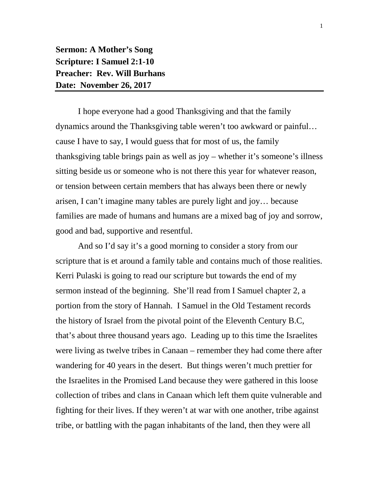**Sermon: A Mother's Song Scripture: I Samuel 2:1-10 Preacher: Rev. Will Burhans Date: November 26, 2017**

I hope everyone had a good Thanksgiving and that the family dynamics around the Thanksgiving table weren't too awkward or painful… cause I have to say, I would guess that for most of us, the family thanksgiving table brings pain as well as joy – whether it's someone's illness sitting beside us or someone who is not there this year for whatever reason, or tension between certain members that has always been there or newly arisen, I can't imagine many tables are purely light and joy… because families are made of humans and humans are a mixed bag of joy and sorrow, good and bad, supportive and resentful.

And so I'd say it's a good morning to consider a story from our scripture that is et around a family table and contains much of those realities. Kerri Pulaski is going to read our scripture but towards the end of my sermon instead of the beginning. She'll read from I Samuel chapter 2, a portion from the story of Hannah. I Samuel in the Old Testament records the history of Israel from the pivotal point of the Eleventh Century B.C, that's about three thousand years ago. Leading up to this time the Israelites were living as twelve tribes in Canaan – remember they had come there after wandering for 40 years in the desert. But things weren't much prettier for the Israelites in the Promised Land because they were gathered in this loose collection of tribes and clans in Canaan which left them quite vulnerable and fighting for their lives. If they weren't at war with one another, tribe against tribe, or battling with the pagan inhabitants of the land, then they were all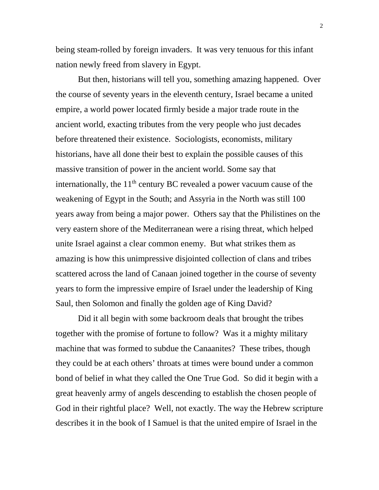being steam-rolled by foreign invaders. It was very tenuous for this infant nation newly freed from slavery in Egypt.

But then, historians will tell you, something amazing happened. Over the course of seventy years in the eleventh century, Israel became a united empire, a world power located firmly beside a major trade route in the ancient world, exacting tributes from the very people who just decades before threatened their existence. Sociologists, economists, military historians, have all done their best to explain the possible causes of this massive transition of power in the ancient world. Some say that internationally, the  $11<sup>th</sup>$  century BC revealed a power vacuum cause of the weakening of Egypt in the South; and Assyria in the North was still 100 years away from being a major power. Others say that the Philistines on the very eastern shore of the Mediterranean were a rising threat, which helped unite Israel against a clear common enemy. But what strikes them as amazing is how this unimpressive disjointed collection of clans and tribes scattered across the land of Canaan joined together in the course of seventy years to form the impressive empire of Israel under the leadership of King Saul, then Solomon and finally the golden age of King David?

Did it all begin with some backroom deals that brought the tribes together with the promise of fortune to follow? Was it a mighty military machine that was formed to subdue the Canaanites? These tribes, though they could be at each others' throats at times were bound under a common bond of belief in what they called the One True God. So did it begin with a great heavenly army of angels descending to establish the chosen people of God in their rightful place? Well, not exactly. The way the Hebrew scripture describes it in the book of I Samuel is that the united empire of Israel in the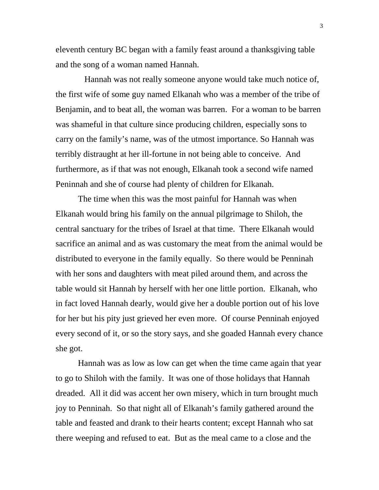eleventh century BC began with a family feast around a thanksgiving table and the song of a woman named Hannah.

 Hannah was not really someone anyone would take much notice of, the first wife of some guy named Elkanah who was a member of the tribe of Benjamin, and to beat all, the woman was barren. For a woman to be barren was shameful in that culture since producing children, especially sons to carry on the family's name, was of the utmost importance. So Hannah was terribly distraught at her ill-fortune in not being able to conceive. And furthermore, as if that was not enough, Elkanah took a second wife named Peninnah and she of course had plenty of children for Elkanah.

The time when this was the most painful for Hannah was when Elkanah would bring his family on the annual pilgrimage to Shiloh, the central sanctuary for the tribes of Israel at that time. There Elkanah would sacrifice an animal and as was customary the meat from the animal would be distributed to everyone in the family equally. So there would be Penninah with her sons and daughters with meat piled around them, and across the table would sit Hannah by herself with her one little portion. Elkanah, who in fact loved Hannah dearly, would give her a double portion out of his love for her but his pity just grieved her even more. Of course Penninah enjoyed every second of it, or so the story says, and she goaded Hannah every chance she got.

Hannah was as low as low can get when the time came again that year to go to Shiloh with the family. It was one of those holidays that Hannah dreaded. All it did was accent her own misery, which in turn brought much joy to Penninah. So that night all of Elkanah's family gathered around the table and feasted and drank to their hearts content; except Hannah who sat there weeping and refused to eat. But as the meal came to a close and the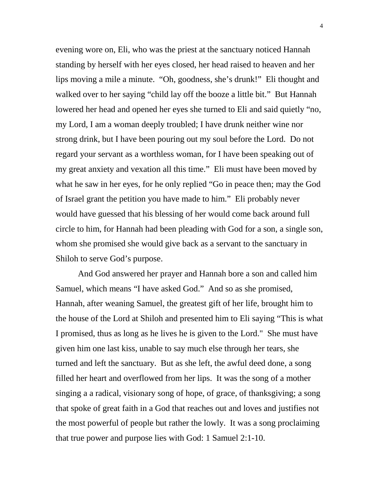evening wore on, Eli, who was the priest at the sanctuary noticed Hannah standing by herself with her eyes closed, her head raised to heaven and her lips moving a mile a minute. "Oh, goodness, she's drunk!" Eli thought and walked over to her saying "child lay off the booze a little bit." But Hannah lowered her head and opened her eyes she turned to Eli and said quietly "no, my Lord, I am a woman deeply troubled; I have drunk neither wine nor strong drink, but I have been pouring out my soul before the Lord. Do not regard your servant as a worthless woman, for I have been speaking out of my great anxiety and vexation all this time." Eli must have been moved by what he saw in her eyes, for he only replied "Go in peace then; may the God of Israel grant the petition you have made to him." Eli probably never would have guessed that his blessing of her would come back around full circle to him, for Hannah had been pleading with God for a son, a single son, whom she promised she would give back as a servant to the sanctuary in Shiloh to serve God's purpose.

And God answered her prayer and Hannah bore a son and called him Samuel, which means "I have asked God." And so as she promised, Hannah, after weaning Samuel, the greatest gift of her life, brought him to the house of the Lord at Shiloh and presented him to Eli saying "This is what I promised, thus as long as he lives he is given to the Lord." She must have given him one last kiss, unable to say much else through her tears, she turned and left the sanctuary. But as she left, the awful deed done, a song filled her heart and overflowed from her lips. It was the song of a mother singing a a radical, visionary song of hope, of grace, of thanksgiving; a song that spoke of great faith in a God that reaches out and loves and justifies not the most powerful of people but rather the lowly. It was a song proclaiming that true power and purpose lies with God: 1 Samuel 2:1-10.